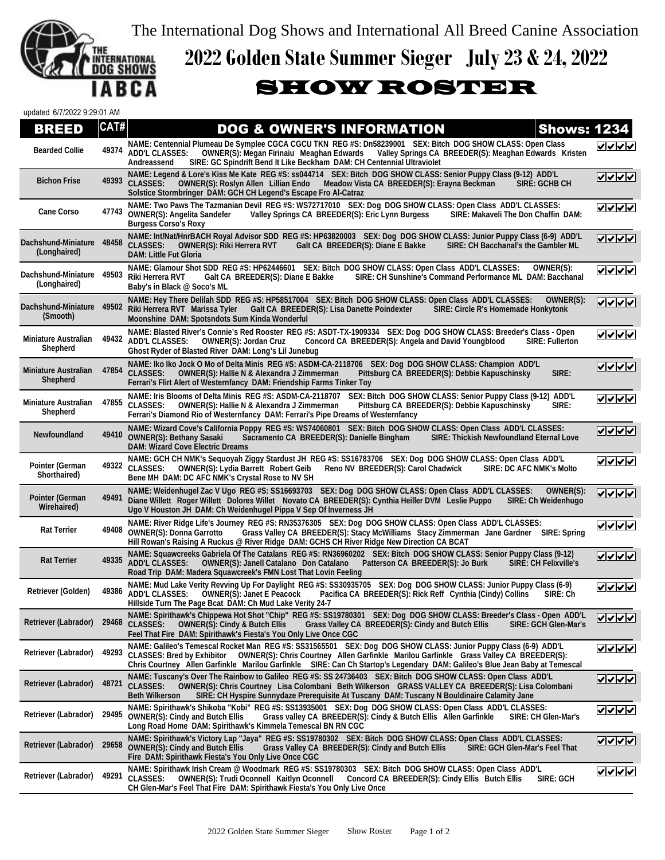The International Dog Shows and International All Breed Canine Association



## **2022 Golden State Summer Sieger July 23 & 24, 2022**

## SHOW ROSTER

| updated 6/7/2022 9:29:01 AM             |       |                                                                                                                                                                                                                                                                                                                                                                      |             |
|-----------------------------------------|-------|----------------------------------------------------------------------------------------------------------------------------------------------------------------------------------------------------------------------------------------------------------------------------------------------------------------------------------------------------------------------|-------------|
| BREED                                   | CAT#  | <b>DOG &amp; OWNER'S INFORMATION</b><br><b>Shows: 1234</b>                                                                                                                                                                                                                                                                                                           |             |
| <b>Bearded Collie</b>                   | 49374 | NAME: Centennial Plumeau De Symplee CGCA CGCU TKN REG #S: Dn58239001 SEX: Bitch DOG SHOW CLASS: Open Class<br><b>OWNER(S): Megan Firinaiu Meaghan Edwards</b><br>Valley Springs CA BREEDER(S): Meaghan Edwards Kristen<br><b>ADD'L CLASSES:</b><br>SIRE: GC Spindrift Bend It Like Beckham DAM: CH Centennial Ultraviolet<br>Andreassend                             | ママママ        |
| <b>Bichon Frise</b>                     | 49393 | NAME: Legend & Lore's Kiss Me Kate REG #S: ss044714 SEX: Bitch DOG SHOW CLASS: Senior Puppy Class (9-12) ADD'L<br><b>CLASSES:</b><br>OWNER(S): Roslyn Allen Lillian Endo<br>Meadow Vista CA BREEDER(S): Erayna Beckman<br>SIRE: GCHB CH<br>Solstice Stormbringer DAM: GCH CH Legend's Escape Fro Al-Catraz                                                           | V V V       |
| <b>Cane Corso</b>                       | 47743 | NAME: Two Paws The Tazmanian Devil REG #S: WS72717010 SEX: Dog DOG SHOW CLASS: Open Class ADD'L CLASSES:<br><b>OWNER(S): Angelita Sandefer</b><br>Valley Springs CA BREEDER(S): Eric Lynn Burgess<br>SIRE: Makaveli The Don Chaffin DAM:<br><b>Burgess Corso's Roxy</b>                                                                                              | ママママ        |
| Dachshund-Miniature<br>(Longhaired)     | 48458 | NAME: Int/Nat/HnrBACH Royal Advisor SDD REG #S: HP63820003 SEX: Dog DOG SHOW CLASS: Junior Puppy Class (6-9) ADD'L<br><b>CLASSES:</b><br><b>OWNER(S): Riki Herrera RVT</b><br>Galt CA BREEDER(S): Diane E Bakke<br>SIRE: CH Bacchanal's the Gambler ML<br><b>DAM: Little Fut Gloria</b>                                                                              | ママママ        |
| Dachshund-Miniature<br>(Longhaired)     | 49503 | NAME: Glamour Shot SDD REG #S: HP62446601 SEX: Bitch DOG SHOW CLASS: Open Class ADD'L CLASSES:<br>OWNER(S):<br>Riki Herrera RVT<br>Galt CA BREEDER(S): Diane E Bakke<br>SIRE: CH Sunshine's Command Performance ML DAM: Bacchanal<br>Baby's in Black @ Soco's ML                                                                                                     | ママママ        |
| Dachshund-Miniature<br>(Smooth)         | 49502 | NAME: Hey There Delilah SDD REG #S: HP58517004 SEX: Bitch DOG SHOW CLASS: Open Class ADD'L CLASSES:<br>OWNER(S):<br>Riki Herrera RVT Marissa Tyler<br>Galt CA BREEDER(S): Lisa Danette Poindexter<br>SIRE: Circle R's Homemade Honkytonk<br>Moonshine DAM: Spotsndots Sum Kinda Wonderful                                                                            |             |
| <b>Miniature Australian</b><br>Shepherd |       | NAME: Blasted River's Connie's Red Rooster REG #S: ASDT-TX-1909334 SEX: Dog DOG SHOW CLASS: Breeder's Class - Open<br>49432 ADD'L CLASSES:<br>Concord CA BREEDER(S): Angela and David Youngblood<br><b>OWNER(S): Jordan Cruz</b><br><b>SIRE: Fullerton</b><br>Ghost Ryder of Blasted River DAM: Long's Lil Junebug                                                   | ママママ        |
| <b>Miniature Australian</b><br>Shepherd | 47854 | NAME: Iko Iko Jock O Mo of Delta Minis REG #S: ASDM-CA-2118706 SEX: Dog DOG SHOW CLASS: Champion ADD'L<br><b>CLASSES:</b><br><b>OWNER(S): Hallie N &amp; Alexandra J Zimmerman</b><br>Pittsburg CA BREEDER(S): Debbie Kapuschinsky<br>SIRE:<br>Ferrari's Flirt Alert of Westernfancy DAM: Friendship Farms Tinker Toy                                                | $ V $ $ V $ |
| <b>Miniature Australian</b><br>Shepherd | 47855 | NAME: Iris Blooms of Delta Minis REG #S: ASDM-CA-2118707<br>SEX: Bitch DOG SHOW CLASS: Senior Puppy Class (9-12) ADD'L<br><b>CLASSES:</b><br>Pittsburg CA BREEDER(S): Debbie Kapuschinsky<br><b>OWNER(S): Hallie N &amp; Alexandra J Zimmerman</b><br>SIRE:<br>Ferrari's Diamond Rio of Westernfancy DAM: Ferrari's Pipe Dreams of Westernfancy                      | ママママ        |
| Newfoundland                            | 49410 | NAME: Wizard Cove's California Poppy REG #S: WS74060801 SEX: Bitch DOG SHOW CLASS: Open Class ADD'L CLASSES:<br><b>OWNER(S): Bethany Sasaki</b><br>SIRE: Thickish Newfoundland Eternal Love<br>Sacramento CA BREEDER(S): Danielle Bingham<br><b>DAM: Wizard Cove Electric Dreams</b>                                                                                 | $ V $ $ V $ |
| Pointer (German<br>Shorthaired)         | 49322 | NAME: GCH CH NMK's Sequoyah Ziggy Stardust JH REG #S: SS16783706 SEX: Dog DOG SHOW CLASS: Open Class ADD'L<br><b>SIRE: DC AFC NMK's Molto</b><br><b>CLASSES:</b><br><b>OWNER(S): Lydia Barrett Robert Geib</b><br>Reno NV BREEDER(S): Carol Chadwick<br>Bene MH DAM: DC AFC NMK's Crystal Rose to NV SH                                                              | ママママ        |
| <b>Pointer (German</b><br>Wirehaired)   | 49491 | NAME: Weidenhugel Zac V Ugo REG #S: SS16693703 SEX: Dog DOG SHOW CLASS: Open Class ADD'L CLASSES:<br>OWNER(S):<br>Diane Willett Roger Willett Dolores Willet Novato CA BREEDER(S): Cynthia Heiller DVM Leslie Puppo<br><b>SIRE: Ch Weidenhugo</b><br>Ugo V Houston JH DAM: Ch Weidenhugel Pippa V Sep Of Inverness JH                                                | ママママ        |
| <b>Rat Terrier</b>                      | 49408 | NAME: River Ridge Life's Journey REG #S: RN35376305 SEX: Dog DOG SHOW CLASS: Open Class ADD'L CLASSES:<br><b>OWNER(S): Donna Garrotto</b><br>Grass Valley CA BREEDER(S): Stacy McWilliams Stacy Zimmerman Jane Gardner SIRE: Spring<br>Hill Rowan's Raising A Ruckus @ River Ridge DAM: GCHS CH River Ridge New Direction CA BCAT                                    | $ V $ $ V $ |
| <b>Rat Terrier</b>                      | 49335 | NAME: Squawcreeks Gabriela Of The Catalans REG #S: RN36960202 SEX: Bitch DOG SHOW CLASS: Senior Puppy Class (9-12)<br><b>ADD'L CLASSES:</b><br><b>OWNER(S): Janell Catalano Don Catalano</b><br>Patterson CA BREEDER(S): Jo Burk<br><b>SIRE: CH Felixville's</b><br>Road Trip DAM: Madera Squawcreek's FMN Lost That Lovin Feeling                                   | V V V       |
| Retriever (Golden)                      | 49386 | NAME: Mud Lake Verity Revving Up For Daylight REG #S: SS30935705 SEX: Dog DOG SHOW CLASS: Junior Puppy Class (6-9)<br>ADD'L CLASSES: OWNER(S): Janet E Peacock Pacifica CA BREEDER(S): Rick Reff Cynthia (Cindy) Collins SIRE: Ch<br>Hillside Turn The Page Bcat DAM: Ch Mud Lake Verity 24-7                                                                        | ママママ        |
| Retriever (Labrador)                    | 29468 | NAME: Spirithawk's Chippewa Hot Shot "Chip" REG #S: SS19780301 SEX: Dog DOG SHOW CLASS: Breeder's Class - Open ADD'L<br><b>CLASSES:</b><br><b>OWNER(S): Cindy &amp; Butch Ellis</b><br>Grass Valley CA BREEDER(S): Cindy and Butch Ellis<br><b>SIRE: GCH Glen-Mar's</b><br>Feel That Fire DAM: Spirithawk's Fiesta's You Only Live Once CGC                          | ✓  ✓  ✓  ✓  |
| Retriever (Labrador)                    | 49293 | NAME: Galileo's Temescal Rocket Man REG #S: SS31565501 SEX: Dog DOG SHOW CLASS: Junior Puppy Class (6-9) ADD'L<br>CLASSES: Bred by Exhibitor  OWNER(S): Chris Courtney Allen Garfinkle Marilou Garfinkle  Grass Valley CA BREEDER(S):<br>Chris Courtney Allen Garfinkle Marilou Garfinkle SIRE: Can Ch Startop's Legendary DAM: Galileo's Blue Jean Baby at Temescal | ママイン        |
| Retriever (Labrador)                    | 48721 | NAME: Tuscany's Over The Rainbow to Galileo REG #S: SS 24736403 SEX: Bitch DOG SHOW CLASS: Open Class ADD'L<br>OWNER(S): Chris Courtney Lisa Colombani Beth Wilkerson GRASS VALLEY CA BREEDER(S): Lisa Colombani<br><b>CLASSES:</b><br><b>Beth Wilkerson</b><br>SIRE: CH Hyspire Sunnydaze Prerequisite At Tuscany DAM: Tuscany N Bouldinaire Calamity Jane          |             |
| Retriever (Labrador)                    | 29495 | NAME: Spirithawk's Shikoba "Kobi" REG #S: SS13935001 SEX: Dog DOG SHOW CLASS: Open Class ADD'L CLASSES:<br><b>OWNER(S): Cindy and Butch Ellis</b><br>Grass valley CA BREEDER(S): Cindy & Butch Ellis Allen Garfinkle<br>SIRE: CH Glen-Mar's<br>Long Road Home DAM: Spirithawk's Kimmela Temescal BN RN CGC                                                           | <u>VVVV</u> |
| Retriever (Labrador)                    | 29658 | NAME: Spirithawk's Victory Lap "Jaya" REG #S: SS19780302 SEX: Bitch DOG SHOW CLASS: Open Class ADD'L CLASSES:<br><b>OWNER(S): Cindy and Butch Ellis</b><br>Grass Valley CA BREEDER(S): Cindy and Butch Ellis<br>SIRE: GCH Glen-Mar's Feel That<br>Fire DAM: Spirithawk Fiesta's You Only Live Once CGC                                                               | <u>VVVV</u> |
| Retriever (Labrador)                    | 49291 | NAME: Spirithawk Irish Cream @ Woodmark REG #S: SS19780303 SEX: Bitch DOG SHOW CLASS: Open Class ADD'L<br><b>CLASSES:</b><br><b>OWNER(S): Trudi Oconnell Kaitlyn Oconnell</b><br>Concord CA BREEDER(S): Cindy Ellis Butch Ellis<br>SIRE: GCH<br>CH Glen-Mar's Feel That Fire DAM: Spirithawk Fiesta's You Only Live Once                                             | マママ         |